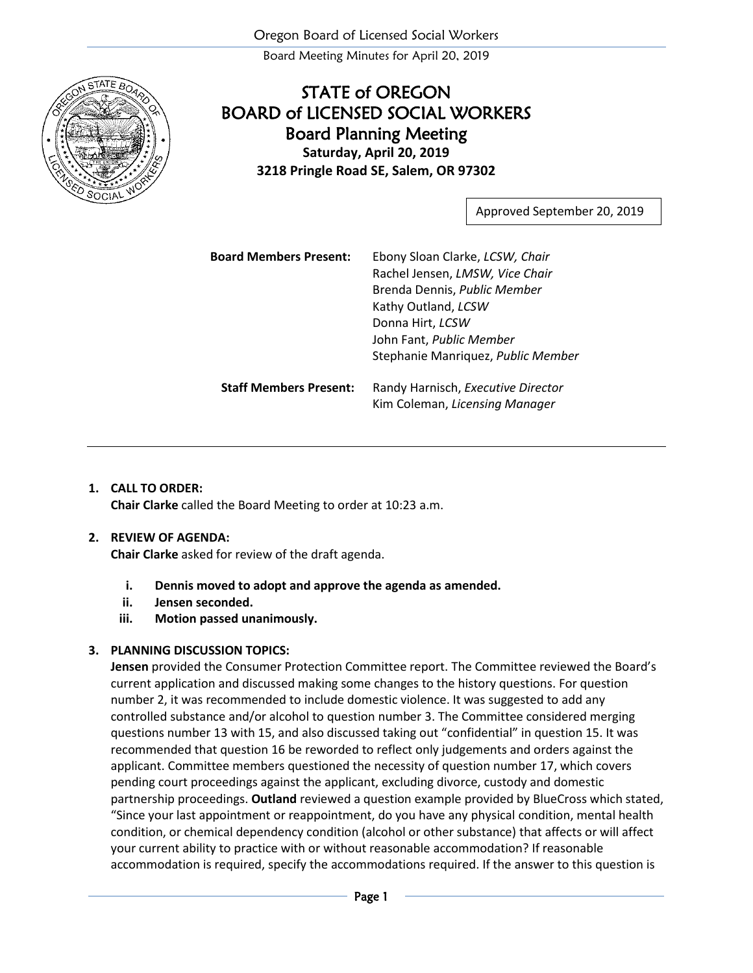Board Meeting Minutes for April 20, 2019



## STATE of OREGON BOARD of LICENSED SOCIAL WORKERS Board Planning Meeting **Saturday, April 20, 2019 3218 Pringle Road SE, Salem, OR 97302**

Approved September 20, 2019

| <b>Board Members Present:</b> | Ebony Sloan Clarke, LCSW, Chair<br>Rachel Jensen, LMSW, Vice Chair<br>Brenda Dennis, Public Member<br>Kathy Outland, LCSW<br>Donna Hirt, LCSW<br>John Fant, Public Member<br>Stephanie Manriquez, Public Member |
|-------------------------------|-----------------------------------------------------------------------------------------------------------------------------------------------------------------------------------------------------------------|
| <b>Staff Members Present:</b> | Randy Harnisch, Executive Director<br>Kim Coleman, Licensing Manager                                                                                                                                            |

## **1. CALL TO ORDER:**

**Chair Clarke** called the Board Meeting to order at 10:23 a.m.

## **2. REVIEW OF AGENDA:**

**Chair Clarke** asked for review of the draft agenda.

- **i. Dennis moved to adopt and approve the agenda as amended.**
- **ii. Jensen seconded.**
- **iii. Motion passed unanimously.**

## **3. PLANNING DISCUSSION TOPICS:**

**Jensen** provided the Consumer Protection Committee report. The Committee reviewed the Board's current application and discussed making some changes to the history questions. For question number 2, it was recommended to include domestic violence. It was suggested to add any controlled substance and/or alcohol to question number 3. The Committee considered merging questions number 13 with 15, and also discussed taking out "confidential" in question 15. It was recommended that question 16 be reworded to reflect only judgements and orders against the applicant. Committee members questioned the necessity of question number 17, which covers pending court proceedings against the applicant, excluding divorce, custody and domestic partnership proceedings. **Outland** reviewed a question example provided by BlueCross which stated, "Since your last appointment or reappointment, do you have any physical condition, mental health condition, or chemical dependency condition (alcohol or other substance) that affects or will affect your current ability to practice with or without reasonable accommodation? If reasonable accommodation is required, specify the accommodations required. If the answer to this question is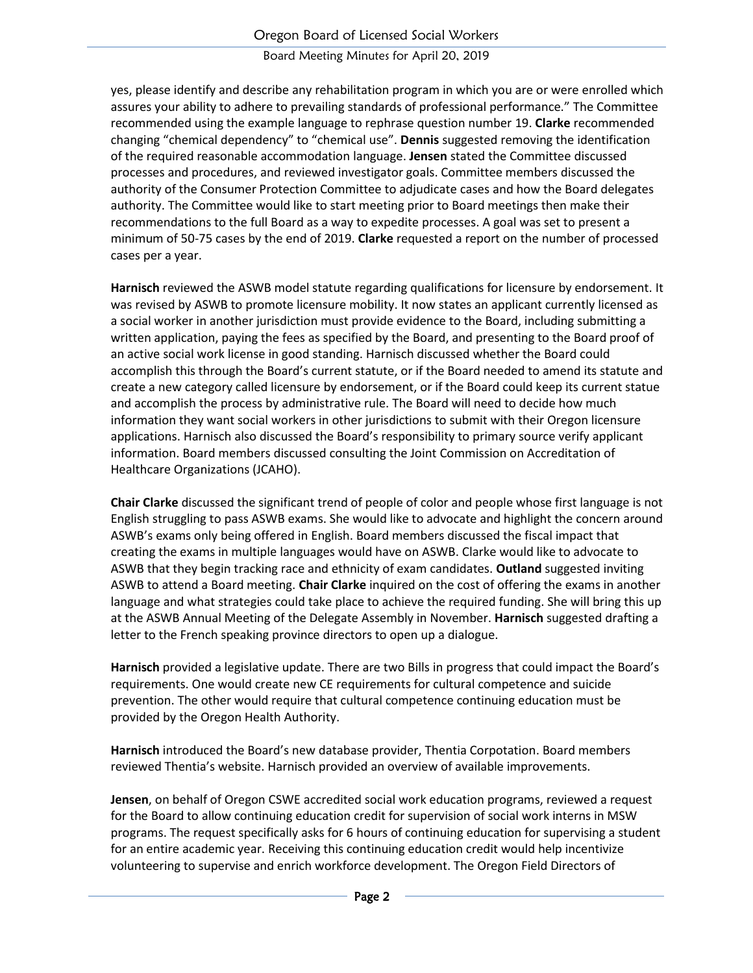Board Meeting Minutes for April 20, 2019

yes, please identify and describe any rehabilitation program in which you are or were enrolled which assures your ability to adhere to prevailing standards of professional performance." The Committee recommended using the example language to rephrase question number 19. **Clarke** recommended changing "chemical dependency" to "chemical use". **Dennis** suggested removing the identification of the required reasonable accommodation language. **Jensen** stated the Committee discussed processes and procedures, and reviewed investigator goals. Committee members discussed the authority of the Consumer Protection Committee to adjudicate cases and how the Board delegates authority. The Committee would like to start meeting prior to Board meetings then make their recommendations to the full Board as a way to expedite processes. A goal was set to present a minimum of 50-75 cases by the end of 2019. **Clarke** requested a report on the number of processed cases per a year.

**Harnisch** reviewed the ASWB model statute regarding qualifications for licensure by endorsement. It was revised by ASWB to promote licensure mobility. It now states an applicant currently licensed as a social worker in another jurisdiction must provide evidence to the Board, including submitting a written application, paying the fees as specified by the Board, and presenting to the Board proof of an active social work license in good standing. Harnisch discussed whether the Board could accomplish this through the Board's current statute, or if the Board needed to amend its statute and create a new category called licensure by endorsement, or if the Board could keep its current statue and accomplish the process by administrative rule. The Board will need to decide how much information they want social workers in other jurisdictions to submit with their Oregon licensure applications. Harnisch also discussed the Board's responsibility to primary source verify applicant information. Board members discussed consulting the Joint Commission on Accreditation of Healthcare Organizations (JCAHO).

**Chair Clarke** discussed the significant trend of people of color and people whose first language is not English struggling to pass ASWB exams. She would like to advocate and highlight the concern around ASWB's exams only being offered in English. Board members discussed the fiscal impact that creating the exams in multiple languages would have on ASWB. Clarke would like to advocate to ASWB that they begin tracking race and ethnicity of exam candidates. **Outland** suggested inviting ASWB to attend a Board meeting. **Chair Clarke** inquired on the cost of offering the exams in another language and what strategies could take place to achieve the required funding. She will bring this up at the ASWB Annual Meeting of the Delegate Assembly in November. **Harnisch** suggested drafting a letter to the French speaking province directors to open up a dialogue.

**Harnisch** provided a legislative update. There are two Bills in progress that could impact the Board's requirements. One would create new CE requirements for cultural competence and suicide prevention. The other would require that cultural competence continuing education must be provided by the Oregon Health Authority.

**Harnisch** introduced the Board's new database provider, Thentia Corpotation. Board members reviewed Thentia's website. Harnisch provided an overview of available improvements.

**Jensen**, on behalf of Oregon CSWE accredited social work education programs, reviewed a request for the Board to allow continuing education credit for supervision of social work interns in MSW programs. The request specifically asks for 6 hours of continuing education for supervising a student for an entire academic year. Receiving this continuing education credit would help incentivize volunteering to supervise and enrich workforce development. The Oregon Field Directors of